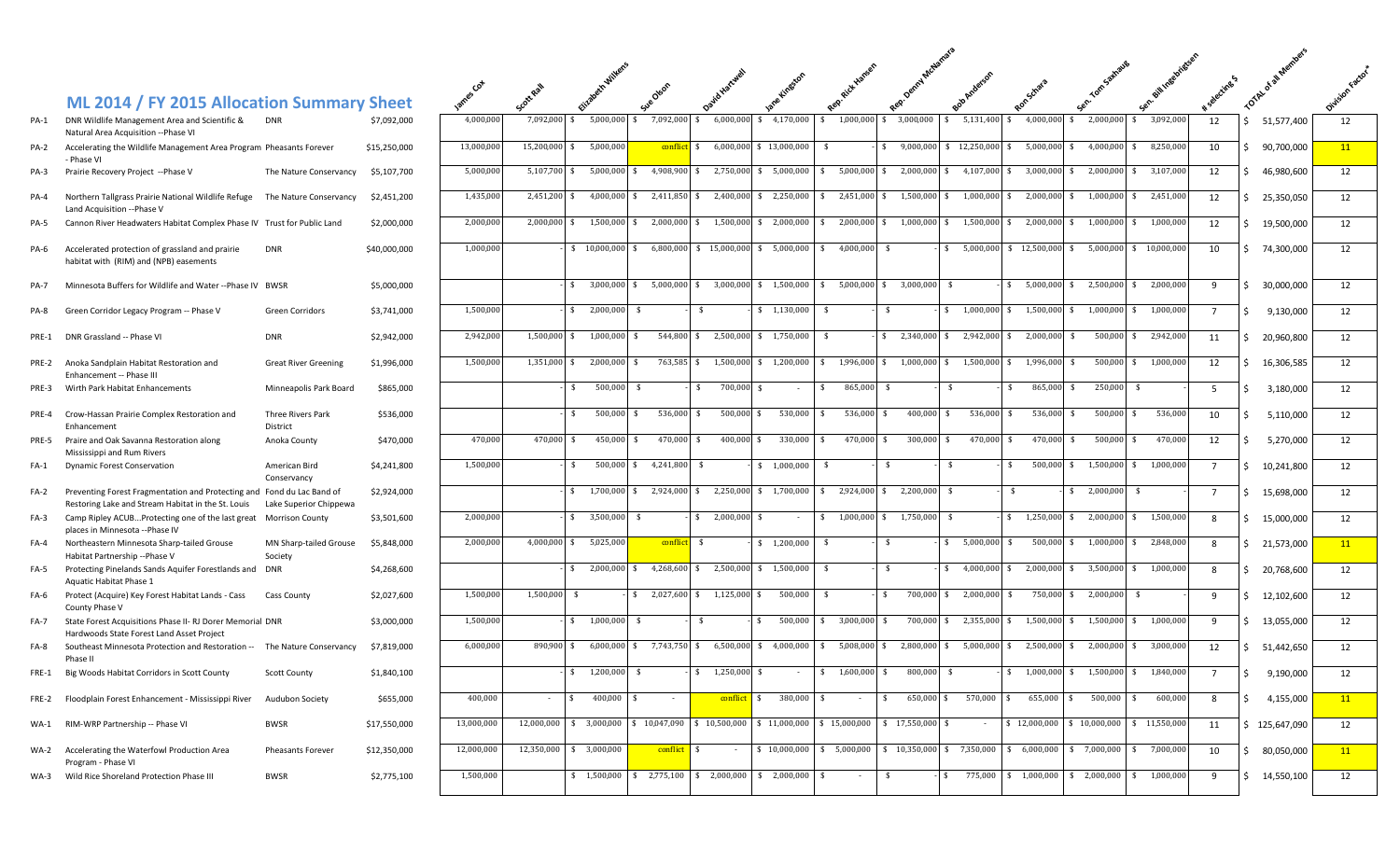## **ML 2014 / FY 2015 Allocation Summary**

|             | ITE EVIT $\prime$ TT EVIS ANOUATON SUMMON $\gamma$                                                                           |                                   | 1.1.1.       |  |
|-------------|------------------------------------------------------------------------------------------------------------------------------|-----------------------------------|--------------|--|
| PA-1        | DNR Wildlife Management Area and Scientific &<br>Natural Area Acquisition -- Phase VI                                        | <b>DNR</b>                        | \$7,092,000  |  |
| <b>PA-2</b> | Accelerating the Wildlife Management Area Program Pheasants Forever<br>- Phase VI                                            |                                   | \$15,250,000 |  |
| PA-3        | Prairie Recovery Project --Phase V                                                                                           | The Nature Conservancy            | \$5,107,700  |  |
| PA-4        | Northern Tallgrass Prairie National Wildlife Refuge<br>Land Acquisition -- Phase V                                           | The Nature Conservancy            | \$2,451,200  |  |
| <b>PA-5</b> | Cannon River Headwaters Habitat Complex Phase IV Trust for Public Land                                                       |                                   | \$2,000,000  |  |
| PA-6        | Accelerated protection of grassland and prairie<br>habitat with (RIM) and (NPB) easements                                    | <b>DNR</b>                        | \$40,000,000 |  |
| <b>PA-7</b> | Minnesota Buffers for Wildlife and Water -- Phase IV BWSR                                                                    |                                   | \$5,000,000  |  |
| PA-8        | Green Corridor Legacy Program -- Phase V                                                                                     | <b>Green Corridors</b>            | \$3,741,000  |  |
| PRE-1       | DNR Grassland -- Phase VI                                                                                                    | <b>DNR</b>                        | \$2,942,000  |  |
| PRE-2       | Anoka Sandplain Habitat Restoration and<br>Enhancement -- Phase III                                                          | <b>Great River Greening</b>       | \$1,996,000  |  |
| PRE-3       | Wirth Park Habitat Enhancements                                                                                              | Minneapolis Park Board            | \$865,000    |  |
| PRE-4       | Crow-Hassan Prairie Complex Restoration and<br>Enhancement                                                                   | Three Rivers Park<br>District     | \$536,000    |  |
| PRE-5       | Praire and Oak Savanna Restoration along<br>Mississippi and Rum Rivers                                                       | Anoka County                      | \$470,000    |  |
| $FA-1$      | <b>Dynamic Forest Conservation</b>                                                                                           | American Bird<br>Conservancy      | \$4,241,800  |  |
| $FA-2$      | Preventing Forest Fragmentation and Protecting and Fond du Lac Band of<br>Restoring Lake and Stream Habitat in the St. Louis | Lake Superior Chippewa            | \$2,924,000  |  |
| FA-3        | Camp Ripley ACUBProtecting one of the last great<br>places in Minnesota -- Phase IV                                          | Morrison County                   | \$3,501,600  |  |
| FA-4        | Northeastern Minnesota Sharp-tailed Grouse<br>Habitat Partnership -- Phase V                                                 | MN Sharp-tailed Grouse<br>Society | \$5,848,000  |  |
| $FA-5$      | Protecting Pinelands Sands Aquifer Forestlands and<br>Aquatic Habitat Phase 1                                                | <b>DNR</b>                        | \$4,268,600  |  |
| FA-6        | Protect (Acquire) Key Forest Habitat Lands - Cass<br>County Phase V                                                          | Cass County                       | \$2,027,600  |  |
| FA-7        | State Forest Acquisitions Phase II- RJ Dorer Memorial DNR<br>Hardwoods State Forest Land Asset Project                       |                                   | \$3,000,000  |  |
| $FA-8$      | Southeast Minnesota Protection and Restoration --<br>Phase II                                                                | The Nature Conservancy            | \$7,819,000  |  |
| FRE-1       | Big Woods Habitat Corridors in Scott County                                                                                  | <b>Scott County</b>               | \$1,840,100  |  |
| FRE-2       | Floodplain Forest Enhancement - Mississippi River                                                                            | Audubon Society                   | \$655,000    |  |
| $WA-1$      | RIM-WRP Partnership -- Phase VI                                                                                              | <b>BWSR</b>                       | \$17,550,000 |  |
| <b>WA-2</b> | Accelerating the Waterfowl Production Area<br>Program - Phase VI                                                             | Pheasants Forever                 | \$12,350,000 |  |
| $WA-3$      | Wild Rice Shoreland Protection Phase III                                                                                     | <b>BWSR</b>                       | \$2.775.100  |  |

|       |                                                                                                                              |                                   |              | $c_{\mathsf{Q}^+}$ | . cott Rall   |                        |                            |                                          |                                                                                         |                                                         |                                                                                      |                 |                                    |                                                |                         |             |                            |           |
|-------|------------------------------------------------------------------------------------------------------------------------------|-----------------------------------|--------------|--------------------|---------------|------------------------|----------------------------|------------------------------------------|-----------------------------------------------------------------------------------------|---------------------------------------------------------|--------------------------------------------------------------------------------------|-----------------|------------------------------------|------------------------------------------------|-------------------------|-------------|----------------------------|-----------|
|       | ML 2014 / FY 2015 Allocation Summary Sheet                                                                                   |                                   |              |                    |               |                        |                            |                                          |                                                                                         |                                                         |                                                                                      |                 |                                    |                                                |                         |             |                            |           |
| PA-1  | DNR Wildlife Management Area and Scientific &<br>Natural Area Acquisition -- Phase VI                                        | <b>DNR</b>                        | \$7,092,000  | 4,000,000          | 7,092,000     | 5,000,000              | 7,092,000                  | 6,000,000                                | \$4,170,000                                                                             | 1,000,000<br>\$.<br>S.                                  | 3,000,000                                                                            | 5,131,400       | 4,000,000                          | 2,000,000                                      | 3,092,000               | 12          | 51,577,400<br>S.           | 12        |
| PA-2  | Accelerating the Wildlife Management Area Program Pheasants Forever<br>- Phase VI                                            |                                   | \$15,250,000 | 13,000,000         | 15,200,000 \$ | 5,000,000              | conflict                   | 6,000,000<br>\$                          | \$13,000,000                                                                            | $\sqrt{5}$                                              | $$9,000,000 \$ 12,250,000 \$$                                                        |                 | 5,000,000                          | 4,000,000 \$<br>-S                             | 8,250,000               | 10          | \$90,700,000               | <b>11</b> |
| PA-3  | Prairie Recovery Project --Phase V                                                                                           | The Nature Conservancy            | \$5,107,700  | 5,000,000          | 5,107,700     | 5,000,000<br>\$        | 4,908,900<br>\$.           | 2,750,000                                | 5,000,000<br>\$                                                                         | 5,000,000<br>\$<br>\$                                   | 2,000,000 \$                                                                         | 4,107,000       | 3,000,000<br>-\$                   | 2,000,000                                      | 3,107,000<br>- \$       | 12          | 46,980,600<br>S.           | 12        |
| PA-4  | Northern Tallgrass Prairie National Wildlife Refuge<br>Land Acquisition --Phase V                                            | The Nature Conservancy            | \$2,451,200  | 1,435,000          | 2,451,200 \$  | 4,000,000              | 2,411,850 \$<br>\$         | 2,400,000                                | \$2,250,000                                                                             | 2,451,000<br>$\mathsf{S}$<br>\$                         | 1,500,000 \$                                                                         | $1,000,000$ \$  | 2,000,000                          | 1,000,000 \$                                   | 2,451,000               | 12          | \$25,350,050               | 12        |
| PA-5  | Cannon River Headwaters Habitat Complex Phase IV Trust for Public Land                                                       |                                   | \$2,000,000  | 2,000,000          | 2,000,000 \$  | 1,500,000              | 2,000,000<br>- \$          | $\overline{\$}$ 1,500,000                |                                                                                         | $$2,000,000$ $$2,000,000$ $$1,000,000$ $$1,500,000$ $$$ |                                                                                      |                 | 2,000,000 \$                       | 1,000,000 \$                                   | 1,000,000               | 12          | 19,500,000<br>S.           | 12        |
| PA-6  | Accelerated protection of grassland and prairie<br>habitat with (RIM) and (NPB) easements                                    | DNR                               | \$40,000,000 | 1,000,000          |               |                        |                            | $$10,000,000$ \$ 6,800,000 \$ 15,000,000 | $$5,000,000$ \$                                                                         | 4,000,000                                               | \$                                                                                   |                 | $$5,000,000$ \$ 12,500,000 \$      |                                                | 5,000,000 \$ 10,000,000 | 10          | \$74,300,000               | 12        |
| PA-7  | Minnesota Buffers for Wildlife and Water --Phase IV BWSR                                                                     |                                   | \$5,000,000  |                    |               | \$3,000,000            |                            | $$5,000,000$ \$ 3,000,000                |                                                                                         | $$1,500,000$ \$ 5,000,000                               | $$3,000,000$ \$                                                                      |                 | $$5,000,000$ \$                    |                                                | 2,500,000 \$ 2,000,000  | 9           | \$30,000,000               | 12        |
| PA-8  | Green Corridor Legacy Program -- Phase V                                                                                     | Green Corridors                   | \$3,741,000  | 1,500,000          |               | 2,000,000<br>\$        | -\$                        |                                          | \$ 1,130,000                                                                            | - \$                                                    | \$                                                                                   | $$1,000,000$ \$ | 1,500,000 \$                       | $1,000,000$ \$                                 | 1,000,000               | $7^{\circ}$ | 9,130,000<br>S.            | 12        |
|       | PRE-1 DNR Grassland -- Phase VI                                                                                              | <b>DNR</b>                        | \$2,942,000  | 2,942,000          | 1,500,000     | 1,000,000              | 544,800                    | 2,500,000                                | 1,750,000<br>\$                                                                         | \$                                                      | \$2,340,000                                                                          | 2,942,000       | 2,000,000                          | 500,000                                        | 2,942,000               | 11          | \$20,960,800               | 12        |
| PRE-2 | Anoka Sandplain Habitat Restoration and<br>Enhancement -- Phase III                                                          | <b>Great River Greening</b>       | \$1,996,000  | 1,500,000          | 1,351,000 \$  | 2,000,000              | 763,585                    | 1,500,000                                | \$1,200,000                                                                             | \$                                                      | $1.996.000 \quad $1.000.000 \quad $$                                                 | 1,500,000       | 1,996,000                          | 500,000                                        | 1,000,000<br>- \$       | 12          | \$16,306,585               | 12        |
| PRE-3 | Wirth Park Habitat Enhancements                                                                                              | Minneapolis Park Board            | \$865,000    |                    |               | 500,000<br>- \$        |                            | 700,000<br>- \$                          | \$                                                                                      | 865,000<br>-\$                                          | \$<br>$\sqrt{5}$                                                                     |                 | 865,000<br>- \$                    | 250,000                                        | - \$                    | 5           | 3,180,000                  | 12        |
| PRE-4 | Crow-Hassan Prairie Complex Restoration and<br>Enhancement                                                                   | Three Rivers Park<br>District     | \$536,000    |                    |               | -\$<br>500,000         | 536,000<br>- \$            | 500,000<br>\$                            | 530,000<br>\$                                                                           | 536,000<br>\$<br>\$                                     | $400,000$ \$                                                                         | 536,000 \$      | 536,000                            | 500,000 \$<br>-\$                              | 536,000                 | 10          | 5,110,000                  | 12        |
| PRE-5 | Praire and Oak Savanna Restoration along<br>Mississippi and Rum Rivers                                                       | Anoka County                      | \$470,000    | 470,000            | 470,000 \$    | 450,000                | 470,000<br>\$              | 400,000<br>- \$                          | 330,000<br>$\mathbf{s}$                                                                 | 470,000<br>- \$<br>$\sqrt{2}$                           | 300,000 \$                                                                           | 470,000 \$      | 470,000 \$                         | 500,000 \$                                     | 470,000                 | 12          | 5,270,000                  | 12        |
| FA-1  | <b>Dynamic Forest Conservation</b>                                                                                           | American Bird<br>Conservancy      | \$4,241,800  | 1,500,000          |               | 500,000<br>-\$         | 4,241,800<br>\$.           | - \$                                     | \$1,000,000                                                                             | - \$                                                    | s.<br>\$                                                                             |                 | 500,000<br>-\$                     | 1,500,000 \$<br>$\mathbf{\hat{s}}$             | 1,000,000               | $7^{\circ}$ | 10,241,800                 | 12        |
| FA-2  | Preventing Forest Fragmentation and Protecting and Fond du Lac Band of<br>Restoring Lake and Stream Habitat in the St. Louis | Lake Superior Chippewa            | \$2,924,000  |                    |               | \$ 1,700,000           | 2,924,000                  | 2,250,000                                | \$1,700,000                                                                             | 2,924,000<br>\$<br>\$                                   | 2,200,000 \$                                                                         |                 | - \$                               | 2,000,000<br>s.                                |                         | $7^{\circ}$ | \$15,698,000               | 12        |
| FA-3  | Camp Ripley ACUBProtecting one of the last great<br>places in Minnesota --Phase IV                                           | <b>Morrison County</b>            | \$3,501,600  | 2,000,000          |               | \$3,500,000            | - \$                       | 2,000,000<br>\$                          | \$                                                                                      | 1,000,000<br>\$                                         | \$ 1,750,000<br>$\mathbf{s}$                                                         |                 | $\mathbf{\hat{S}}$<br>1,250,000    | $2,000,000$ \$<br>-S                           | 1,500,000               | 8           | \$15,000,000               | 12        |
| FA-4  | Northeastern Minnesota Sharp-tailed Grouse<br>Habitat Partnership -- Phase V                                                 | MN Sharp-tailed Grouse<br>Society | \$5,848,000  | 2,000,000          |               | 4,000,000 \$ 5,025,000 | conflict                   | \$                                       | \$1,200,000                                                                             | \$                                                      | \$                                                                                   | $$5,000,000$ \$ | 500,000 \$                         | 1,000,000 \$                                   | 2,848,000               | 8           | \$21,573,000               | 11        |
| FA-5  | Protecting Pinelands Sands Aquifer Forestlands and<br>Aquatic Habitat Phase 1                                                | DNR                               | \$4,268,600  |                    |               | 2,000,000<br>\$        | 4,268,600<br>- \$          | 2,500,000<br>\$                          | \$1,500,000                                                                             | \$                                                      | \$                                                                                   | $$4,000,000$ \$ | $2,000,000$ \$                     | 3,500,000 \$                                   | 1,000,000               | 8           | \$20,768,600               | 12        |
| FA-6  | Protect (Acquire) Key Forest Habitat Lands - Cass<br>County Phase V                                                          | Cass County                       | \$2,027,600  | 1,500,000          | 1,500,000     | \$                     | 2,027,600<br>$\mathsf{\$}$ | 1,125,000<br>\$                          | 500,000                                                                                 | - \$                                                    | $\frac{1}{2}$<br>700,000 \$                                                          | 2,000,000       | 750,000                            | 2,000,000                                      |                         | 9           | \$12,102,600               | 12        |
| FA-7  | State Forest Acquisitions Phase II- RJ Dorer Memorial DNR<br>Hardwoods State Forest Land Asset Project                       |                                   | \$3,000,000  | 1,500,000          |               | 1,000,000<br>\$        | -\$                        | - \$                                     | 500,000<br>\$.                                                                          | 3,000,000<br>\$<br>\$                                   | $700,000$ \$                                                                         | 2,355,000 \$    | 1,500,000                          | 1,500,000                                      | 1,000,000<br>- \$       | 9           | \$13,055,000               | 12        |
| FA-8  | Southeast Minnesota Protection and Restoration -- The Nature Conservancy<br>Phase II                                         |                                   | \$7,819,000  | 6,000,000          | 890,900 \$    | 6,000,000              | $$7,743,750$ \$            | 6,500,000                                | 4,000,000<br>\$                                                                         | 5,008,000<br>\$<br>\$                                   | 2,800,000 \$                                                                         | $5,000,000$ \$  | 2,500,000                          | 2,000,000 \$                                   | 3,000,000               | 12          | \$1,442,650                | 12        |
|       | FRE-1 Big Woods Habitat Corridors in Scott County                                                                            | Scott County                      | \$1,840,100  |                    |               | \$ 1,200,000           |                            | $$1,250,000$ \$                          |                                                                                         | $$1,600,000$ \$ 800,000 \$                              |                                                                                      |                 |                                    | $$1,000,000$ \$ 1,500,000 \$ 1,840,000         |                         | $7^{\circ}$ | 9,190,000<br>$\rightarrow$ | 12        |
|       | FRE-2 Floodplain Forest Enhancement - Mississippi River                                                                      | Audubon Society                   | \$655,000    | 400,000            | $\sim$        | IS.<br>$400,000$ \$    | $\sim$                     |                                          | $\text{conflict}$ \$ 380,000 \$                                                         | $\sim$ 100 $\pm$                                        | $\mathsf{\$}$                                                                        |                 | $650,000$ \$ 570,000 \$ 655,000 \$ | 500,000 \$                                     | 600,000                 | 8           | \$4,155,000                | 11        |
|       | WA-1 RIM-WRP Partnership -- Phase VI                                                                                         | BWSR                              | \$17,550,000 | 13,000,000         | 12,000,000    | \$3,000,000            |                            |                                          | $$10,047,090$ $$10,500,000$ $$11,000,000$ $$15,000,000$                                 |                                                         | $$17,550,000$ \$                                                                     | $\sim$ $-$      |                                    | $$12,000,000$ $$10,000,000$ $$11,550,000$      |                         | 11          | \$125,647,090              | 12        |
|       | WA-2 Accelerating the Waterfowl Production Area<br>Program - Phase VI                                                        | Pheasants Forever                 | \$12,350,000 | 12,000,000         | 12,350,000    | \$3,000,000            | conflict \$                |                                          |                                                                                         | $$10,000,000$ $$5,000,000$                              | $$10,350,000 \text{ } $7,350,000 \text{ } $6,000,000 \text{ } $7,000,000 \text{ } $$ |                 |                                    |                                                | \$7,000,000             | 10          | \$0,050,000                | 11        |
|       | WA-3 Wild Rice Shoreland Protection Phase III                                                                                | BWSR                              | \$2,775,100  | 1,500,000          |               | \$1,500,000            |                            |                                          | $\frac{1}{2}$ , 775,100 $\frac{1}{2}$ , 2,000,000 $\frac{1}{2}$ 2,000,000 $\frac{1}{2}$ | $\sim$                                                  | \$<br>$\mathsf{S}$                                                                   |                 |                                    | 775,000 \$ 1,000,000 \$ 2,000,000 \$ 1,000,000 |                         | 9           | \$14,550,100               | 12        |